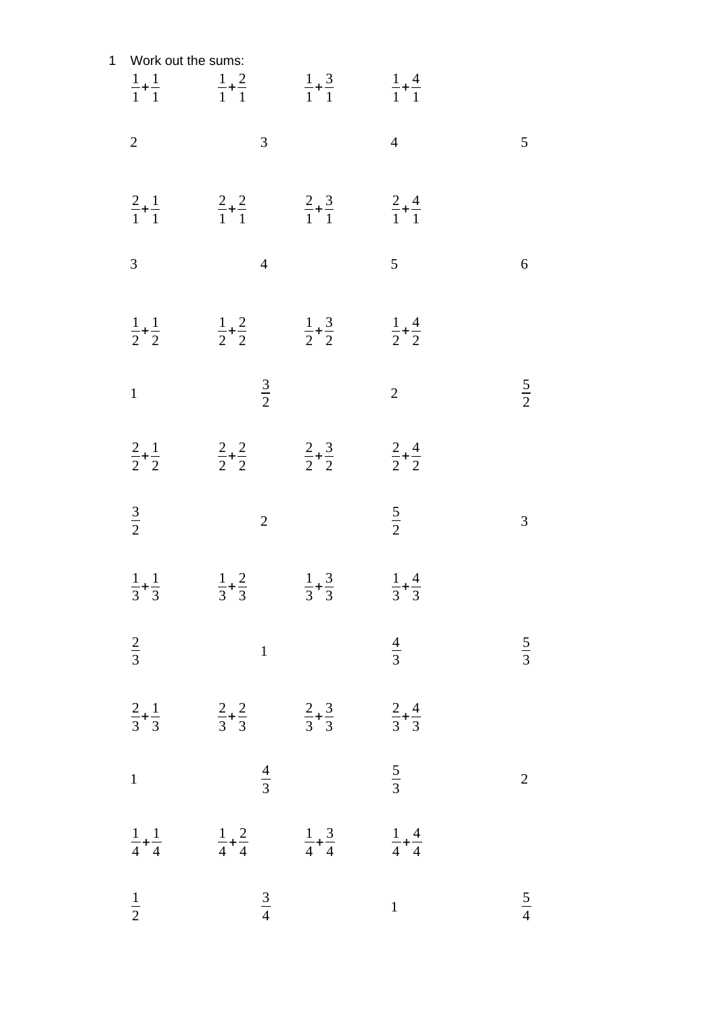| $\mathbf{1}$ | Work out the sums:        |                             |                                                                                                                 |                           |                |
|--------------|---------------------------|-----------------------------|-----------------------------------------------------------------------------------------------------------------|---------------------------|----------------|
|              |                           |                             | $\frac{1}{1} + \frac{1}{1}$ $\frac{1}{1} + \frac{2}{1}$ $\frac{1}{1} + \frac{3}{1}$ $\frac{1}{1} + \frac{4}{1}$ |                           |                |
|              | $\overline{2}$            | 3                           |                                                                                                                 | $\overline{4}$            | 5              |
|              |                           |                             | $\frac{2}{1} + \frac{1}{1}$ $\frac{2}{1} + \frac{2}{1}$ $\frac{2}{1} + \frac{3}{1}$ $\frac{2}{1} + \frac{4}{1}$ |                           |                |
|              | 3                         | $\overline{4}$              |                                                                                                                 | 5                         | 6              |
|              |                           |                             | $\frac{1}{2} + \frac{1}{2}$ $\frac{1}{2} + \frac{2}{2}$ $\frac{1}{2} + \frac{3}{2}$ $\frac{1}{2} + \frac{4}{2}$ |                           |                |
|              | $\mathbf{1}$              | $rac{3}{2}$                 |                                                                                                                 | $\overline{2}$            | $\frac{5}{2}$  |
|              |                           |                             | $\frac{2}{2} + \frac{1}{2}$ $\frac{2}{2} + \frac{2}{2}$ $\frac{2}{2} + \frac{3}{2}$ $\frac{2}{2} + \frac{4}{2}$ |                           |                |
|              | $rac{3}{2}$               | $\overline{2}$              |                                                                                                                 | $rac{5}{2}$               | 3              |
|              | $rac{1}{3} + \frac{1}{3}$ | $\frac{1}{3} + \frac{2}{3}$ | $\frac{1}{3} + \frac{3}{3}$                                                                                     | $rac{1}{3} + \frac{4}{3}$ |                |
|              | $rac{2}{3}$               | $\mathbf 1$                 |                                                                                                                 | $\frac{4}{3}$             | $rac{5}{3}$    |
|              |                           |                             | $\frac{2}{3} + \frac{1}{3}$ $\frac{2}{3} + \frac{2}{3}$ $\frac{2}{3} + \frac{3}{3}$ $\frac{2}{3} + \frac{4}{3}$ |                           |                |
|              | $\mathbf{1}$              | $rac{4}{3}$                 |                                                                                                                 | $rac{5}{3}$               | $\overline{2}$ |
|              |                           |                             | $\frac{1}{4} + \frac{1}{4}$ $\frac{1}{4} + \frac{2}{4}$ $\frac{1}{4} + \frac{3}{4}$ $\frac{1}{4} + \frac{4}{4}$ |                           |                |
|              | $\frac{1}{2}$             | $rac{3}{4}$                 |                                                                                                                 | $\mathbf{1}$              | $rac{5}{4}$    |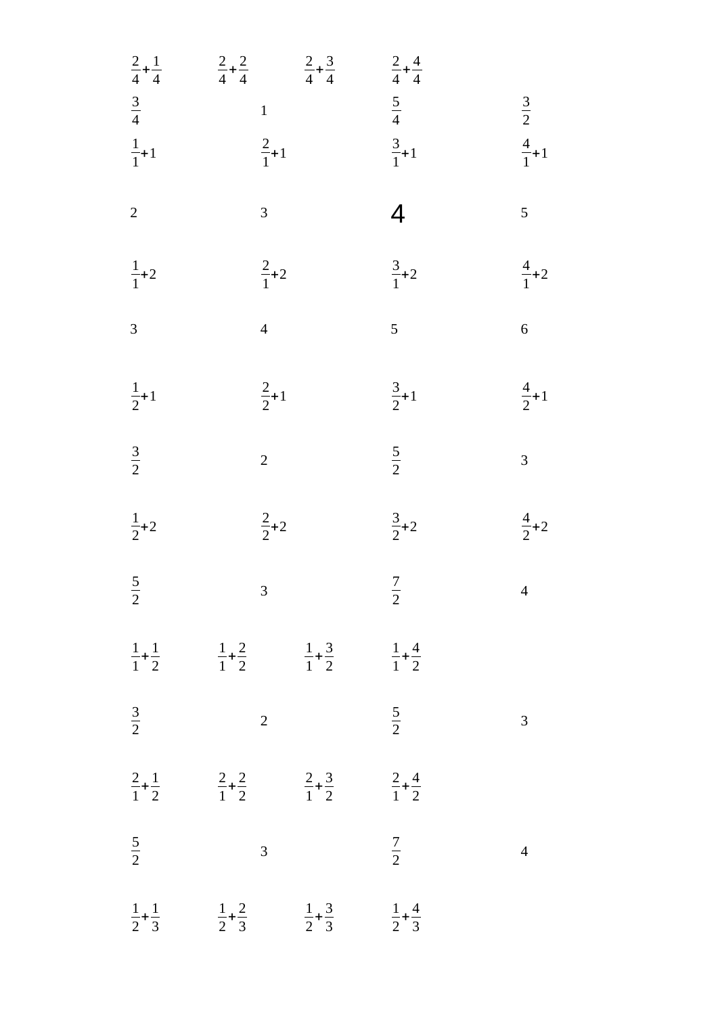| $rac{2}{4} + \frac{1}{4}$ | $\frac{2}{4} + \frac{2}{4}$ $\frac{2}{4} + \frac{3}{4}$ |                                                                                                                 | $rac{2}{4} + \frac{4}{4}$       |                                  |
|---------------------------|---------------------------------------------------------|-----------------------------------------------------------------------------------------------------------------|---------------------------------|----------------------------------|
| $\frac{3}{4}$             | $\mathbf{1}$                                            |                                                                                                                 | $\frac{5}{4}$                   |                                  |
| $\frac{1}{1}+1$           | $rac{2}{1}+1$                                           |                                                                                                                 | $\frac{3}{1}+1$                 | $\frac{3}{2}$<br>$\frac{4}{1}+1$ |
| $\overline{2}$            | 3                                                       |                                                                                                                 | $\overline{4}$                  | 5                                |
| $\frac{1}{1}$ +2          | $rac{2}{1}+2$                                           |                                                                                                                 | $\frac{3}{1}+2$                 | $\frac{4}{1}$ +2                 |
| $\overline{3}$            | $\overline{4}$                                          |                                                                                                                 | 5 <sup>5</sup>                  | $\overline{6}$                   |
| $\frac{1}{2}+1$           | $\frac{2}{2}+1$                                         |                                                                                                                 | $\frac{3}{2}+1$                 | $\frac{4}{2}$ +1                 |
| $rac{3}{2}$               | $\overline{2}$                                          |                                                                                                                 | $\frac{5}{2}$                   | $\overline{3}$                   |
| $\frac{1}{2}$ +2          | $rac{2}{2}+2$                                           |                                                                                                                 | $\frac{3}{2}+2$                 | $\frac{4}{2}$ +2                 |
| $rac{5}{2}$               | 3 <sup>1</sup>                                          |                                                                                                                 | $\frac{7}{2}$<br>$\overline{2}$ | $\overline{4}$                   |
|                           |                                                         | $\frac{1}{1} + \frac{1}{2}$ $\frac{1}{1} + \frac{2}{2}$ $\frac{1}{1} + \frac{3}{2}$ $\frac{1}{1} + \frac{4}{2}$ |                                 |                                  |
| $rac{3}{2}$               | $\overline{2}$                                          |                                                                                                                 | $rac{5}{2}$                     | 3                                |
|                           |                                                         | $\frac{2}{1} + \frac{1}{2}$ $\frac{2}{1} + \frac{2}{2}$ $\frac{2}{1} + \frac{3}{2}$ $\frac{2}{1} + \frac{4}{2}$ |                                 |                                  |
| $rac{5}{2}$               | 3                                                       |                                                                                                                 | $\frac{7}{2}$                   | $\overline{4}$                   |
|                           |                                                         | $\frac{1}{2} + \frac{1}{3}$ $\frac{1}{2} + \frac{2}{3}$ $\frac{1}{2} + \frac{3}{3}$ $\frac{1}{2} + \frac{4}{3}$ |                                 |                                  |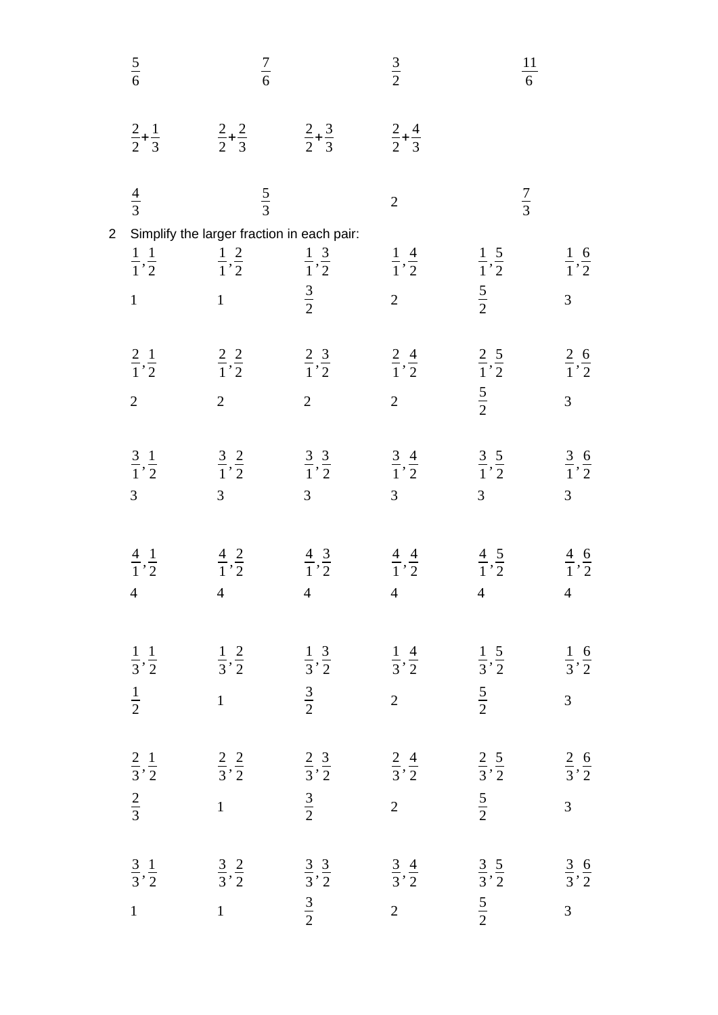|                | $\frac{5}{6}$                                | $\frac{7}{6}$                                                                            |                                              | $rac{3}{2}$                                  | $\frac{11}{6}$                               |                                              |
|----------------|----------------------------------------------|------------------------------------------------------------------------------------------|----------------------------------------------|----------------------------------------------|----------------------------------------------|----------------------------------------------|
|                | $rac{2}{2} + \frac{1}{3}$                    | $\frac{2}{2} + \frac{2}{3}$                                                              | $\frac{2}{2} + \frac{3}{3}$                  | $rac{2}{2} + \frac{4}{3}$                    |                                              |                                              |
|                | $\frac{4}{3}$                                | $rac{5}{3}$                                                                              |                                              | $\overline{2}$                               | $rac{7}{3}$                                  |                                              |
| $\overline{2}$ | $\frac{1}{1}, \frac{1}{2}$<br>$\mathbf{1}$   | Simplify the larger fraction in each pair:<br>$\frac{1}{1}, \frac{2}{2}$<br>$\mathbf{1}$ | $\frac{1}{1}, \frac{3}{2}$<br>$rac{3}{2}$    | $\frac{1}{1}, \frac{4}{2}$<br>$\overline{2}$ | $\frac{1}{1}, \frac{5}{2}$<br>$rac{5}{2}$    | $\frac{1}{1}, \frac{6}{2}$<br>$\overline{3}$ |
|                | $\frac{2}{1}, \frac{1}{2}$                   | $\frac{2}{1}, \frac{2}{2}$                                                               | $\frac{2}{1}, \frac{3}{2}$                   | $\frac{2}{1}, \frac{4}{2}$                   | $\frac{2}{1}, \frac{5}{2}$                   | $\frac{2}{1}, \frac{6}{2}$                   |
|                | $\overline{2}$                               | $\overline{2}$                                                                           | $\overline{2}$                               | $\overline{2}$                               | $rac{5}{2}$                                  | $\overline{3}$                               |
|                | $\frac{3}{1}, \frac{1}{2}$                   | $\frac{3}{1}, \frac{2}{2}$                                                               | $\frac{3}{1}, \frac{3}{2}$                   | $\frac{3}{1}, \frac{4}{2}$                   | $\frac{3}{1}, \frac{5}{2}$                   | $\frac{3}{1}, \frac{6}{2}$                   |
|                | 3                                            | 3                                                                                        | 3                                            | $\mathbf{3}$                                 | 3                                            | $\overline{3}$                               |
|                | $\frac{4}{1}, \frac{1}{2}$<br>$\overline{4}$ | $\frac{4}{1}, \frac{2}{2}$<br>$4\quad 4$                                                 | $\frac{4}{1}, \frac{3}{2}$<br>$\overline{4}$ | $\frac{4}{1}, \frac{4}{2}$                   | $\frac{4}{1}, \frac{5}{2}$<br>$\overline{4}$ | $\frac{4}{1}, \frac{6}{2}$<br>$\overline{4}$ |
|                | $\frac{1}{3}, \frac{1}{2}$                   | $\frac{1}{3}, \frac{2}{2}$                                                               | $\frac{1}{3}, \frac{3}{2}$                   | $\frac{1}{3}, \frac{4}{2}$                   | $\frac{1}{3}, \frac{5}{2}$                   | $\frac{1}{3}, \frac{6}{2}$                   |
|                | $\frac{1}{2}$                                | $\overline{1}$                                                                           | $rac{3}{2}$                                  | $\overline{2}$                               | $rac{5}{2}$                                  | $\overline{3}$                               |
|                | $\frac{2}{3}, \frac{1}{2}$                   | $\frac{2}{3}, \frac{2}{2}$                                                               | $\frac{2}{3}, \frac{3}{2}$                   | $\frac{2}{3}, \frac{4}{2}$                   | $\frac{2}{3}, \frac{5}{2}$                   | $\frac{2}{3}, \frac{6}{2}$                   |
|                | $rac{2}{3}$                                  | $\overline{1}$                                                                           | $rac{3}{2}$                                  | $\overline{2}$                               | $rac{5}{2}$                                  | $\overline{3}$                               |
|                | $\frac{3}{3}, \frac{1}{2}$                   | $\frac{3}{3}, \frac{2}{2}$                                                               | $\frac{3}{3}, \frac{3}{2}$                   | $\frac{3}{3}, \frac{4}{2}$                   | $\frac{3}{3}, \frac{5}{2}$                   | $\frac{3}{3}, \frac{6}{2}$                   |
|                | $\overline{1}$                               | $\overline{1}$                                                                           | $rac{3}{2}$                                  | $\overline{2}$                               | $rac{5}{2}$                                  | $\overline{3}$                               |